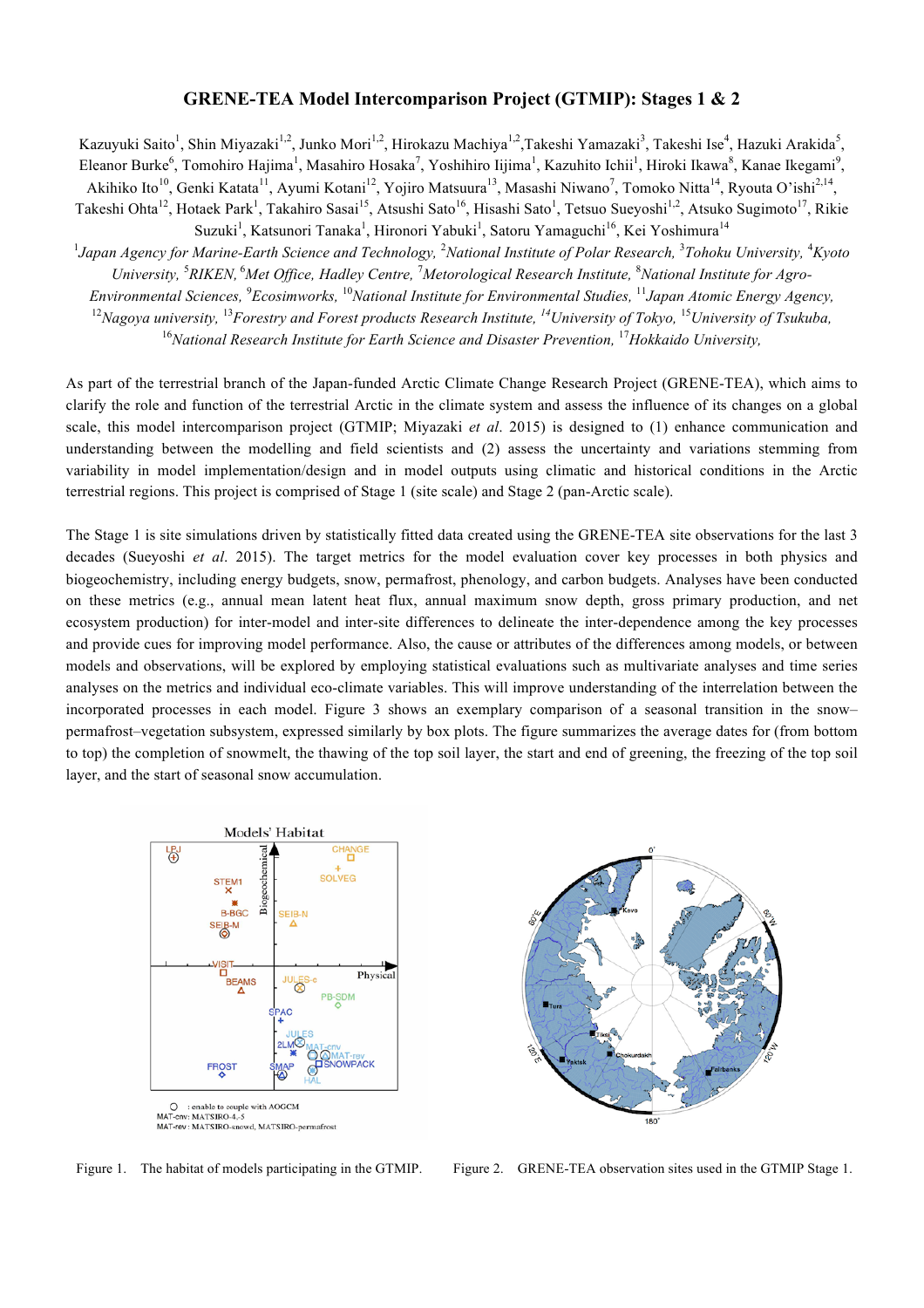## **GRENE-TEA Model Intercomparison Project (GTMIP): Stages 1 & 2**

Kazuyuki Saito<sup>1</sup>, Shin Miyazaki<sup>1,2</sup>, Junko Mori<sup>1,2</sup>, Hirokazu Machiya<sup>1,2</sup>,Takeshi Yamazaki<sup>3</sup>, Takeshi Ise<sup>4</sup>, Hazuki Arakida<sup>5</sup>, Eleanor Burke<sup>6</sup>, Tomohiro Hajima<sup>1</sup>, Masahiro Hosaka<sup>7</sup>, Yoshihiro Iijima<sup>1</sup>, Kazuhito Ichii<sup>1</sup>, Hiroki Ikawa<sup>8</sup>, Kanae Ikegami<sup>9</sup>, Akihiko Ito<sup>10</sup>, Genki Katata<sup>11</sup>, Ayumi Kotani<sup>12</sup>, Yojiro Matsuura<sup>13</sup>, Masashi Niwano<sup>7</sup>, Tomoko Nitta<sup>14</sup>, Ryouta O'ishi<sup>2,14</sup>,

Takeshi Ohta<sup>12</sup>, Hotaek Park<sup>1</sup>, Takahiro Sasai<sup>15</sup>, Atsushi Sato<sup>16</sup>, Hisashi Sato<sup>1</sup>, Tetsuo Sueyoshi<sup>1,2</sup>, Atsuko Sugimoto<sup>17</sup>, Rikie Suzuki<sup>1</sup>, Katsunori Tanaka<sup>1</sup>, Hironori Yabuki<sup>1</sup>, Satoru Yamaguchi<sup>16</sup>, Kei Yoshimura<sup>14</sup>

<sup>1</sup>Japan Agency for Marine-Earth Science and Technology, <sup>2</sup>National Institute of Polar Research, <sup>3</sup>Tohoku University, <sup>4</sup>Kyoto University, <sup>5</sup>RIKEN, <sup>6</sup>Met Office, Hadley Centre, <sup>7</sup>Metorological Research Institute, <sup>8</sup>National Institute for Agro-

*Environmental Sciences,* <sup>9</sup> *Ecosimworks,* <sup>10</sup>*National Institute for Environmental Studies,* <sup>11</sup> *Japan Atomic Energy Agency,*

<sup>12</sup>Nagoya university, <sup>13</sup>Forestry and Forest products Research Institute, <sup>14</sup>University of Tokyo, <sup>15</sup>University of Tsukuba,

<sup>16</sup>National Research Institute for Earth Science and Disaster Prevention, <sup>17</sup>Hokkaido University,

As part of the terrestrial branch of the Japan-funded Arctic Climate Change Research Project (GRENE-TEA), which aims to clarify the role and function of the terrestrial Arctic in the climate system and assess the influence of its changes on a global scale, this model intercomparison project (GTMIP; Miyazaki *et al*. 2015) is designed to (1) enhance communication and understanding between the modelling and field scientists and (2) assess the uncertainty and variations stemming from variability in model implementation/design and in model outputs using climatic and historical conditions in the Arctic terrestrial regions. This project is comprised of Stage 1 (site scale) and Stage 2 (pan-Arctic scale).

The Stage 1 is site simulations driven by statistically fitted data created using the GRENE-TEA site observations for the last 3 decades (Sueyoshi *et al*. 2015). The target metrics for the model evaluation cover key processes in both physics and biogeochemistry, including energy budgets, snow, permafrost, phenology, and carbon budgets. Analyses have been conducted on these metrics (e.g., annual mean latent heat flux, annual maximum snow depth, gross primary production, and net ecosystem production) for inter-model and inter-site differences to delineate the inter-dependence among the key processes and provide cues for improving model performance. Also, the cause or attributes of the differences among models, or between models and observations, will be explored by employing statistical evaluations such as multivariate analyses and time series analyses on the metrics and individual eco-climate variables. This will improve understanding of the interrelation between the incorporated processes in each model. Figure 3 shows an exemplary comparison of a seasonal transition in the snow– permafrost–vegetation subsystem, expressed similarly by box plots. The figure summarizes the average dates for (from bottom to top) the completion of snowmelt, the thawing of the top soil layer, the start and end of greening, the freezing of the top soil layer, and the start of seasonal snow accumulation.





Figure 1. The habitat of models participating in the GTMIP. Figure 2. GRENE-TEA observation sites used in the GTMIP Stage 1.